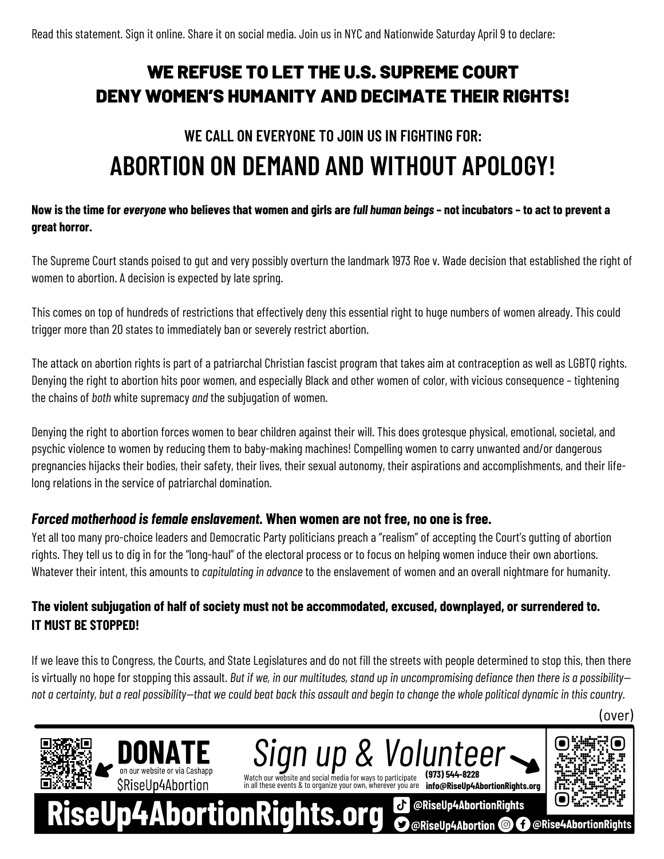## WE REFUSE TO LET THE U.S. SUPREME COURT DENY WOMEN'S HUMANITY AND DECIMATE THEIR RIGHTS!

# **WE CALL ON EVERYONE TO JOIN US IN FIGHTING FOR: ABORTION ON DEMAND AND WITHOUT APOLOGY!**

#### Now is the time for everyone who believes that women and girls are full human beings - not incubators - to act to prevent a **great horror.**

The Supreme Court stands poised to gut and very possibly overturn the landmark 1973 Roe v. Wade decision that established the right of women to abortion. A decision is expected by late spring.

This comes on top of hundreds of restrictions that effectively deny this essential right to huge numbers of women already. This could trigger more than 20 states to immediately ban or severely restrict abortion.

The attack on abortion rights is part of a patriarchal Christian fascist program that takes aim at contraception as well as LGBTQ rights. Denying the right to abortion hits poor women, and especially Black and other women of color, with vicious consequence – tightening the chains of *both* white supremacy *and* the subjugation of women.

Denying the right to abortion forces women to bear children against their will. This does grotesque physical, emotional, societal, and psychic violence to women by reducing them to baby-making machines! Compelling women to carry unwanted and/or dangerous pregnancies hijacks their bodies, their safety, their lives, their sexual autonomy, their aspirations and accomplishments, and their lifelong relations in the service of patriarchal domination.

#### *Forced motherhood isfemale enslavement.* **When women are not free, no one is free.**

Yet all too many pro-choice leaders and Democratic Party politicians preach a "realism" of accepting the Court's gutting of abortion rights. They tell us to dig in for the "long-haul" of the electoral process or to focus on helping women induce their own abortions. Whatever their intent, this amounts to *capitulating in advance* to the enslavement of women and an overall nightmare for humanity.

### **The violent subjugation of half of society must not be accommodated, excused, downplayed, or surrendered to. IT MUST BE STOPPED!**

If we leave this to Congress, the Courts, and State Legislatures and do not fill the streets with people determined to stop this, then there is virtually no hope for stopping this assault. But if we, in our multitudes, stand up in uncompromising defiance then there is a possibilitynot a certainty, but a real possibility—that we could beat back this assault and begin to change the whole political dynamic in this country.